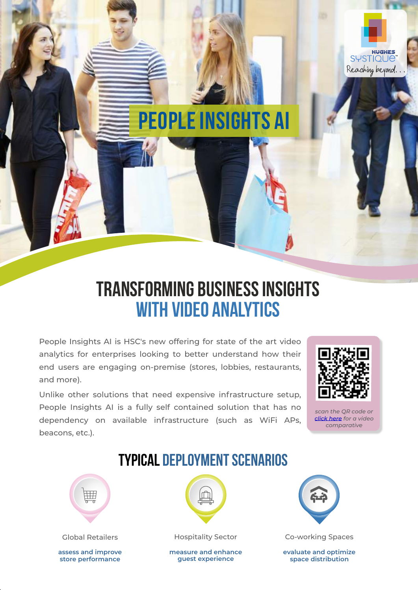

# **People Insights AI**

## **Transforming business insights with video analytics**

People Insights AI is HSC's new offering for state of the art video analytics for enterprises looking to better understand how their end users are engaging on-premise (stores, lobbies, restaurants, and more).

Unlike other solutions that need expensive infrastructure setup, People Insights AI is a fully self contained solution that has no dependency on available infrastructure (such as WiFi APs, beacons, etc.).



*scan the QR code or [click here](https://youtu.be/kkmELFsxqa4) for a video comparative*

### **Typical Deployment Scenarios**



**assess and improve store performance**



**measure and enhance guest experience**



Global Retailers **Hospitality Sector** Co-working Spaces

**evaluate and optimize space distribution**